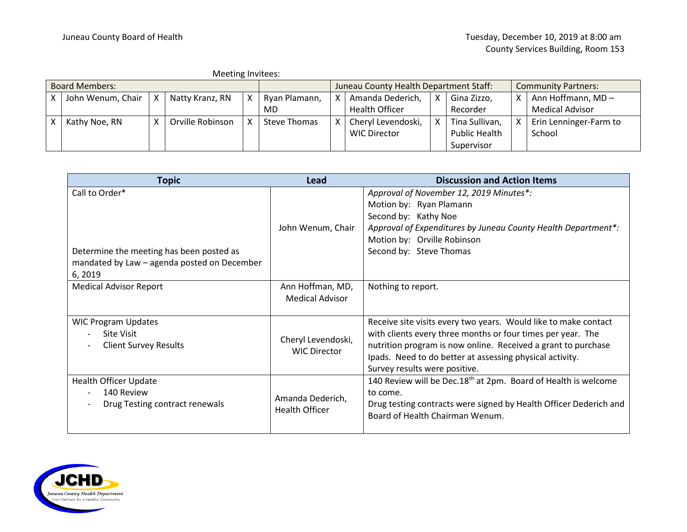|                       | Meeting Invitees: |              |                  |  |                                        |  |                       |   |                            |   |                        |
|-----------------------|-------------------|--------------|------------------|--|----------------------------------------|--|-----------------------|---|----------------------------|---|------------------------|
| <b>Board Members:</b> |                   |              |                  |  | Juneau County Health Department Staff: |  |                       |   | <b>Community Partners:</b> |   |                        |
|                       | John Wenum, Chair | X.           | Natty Kranz, RN  |  | Ryan Plamann,                          |  | Amanda Dederich,      | x | Gina Zizzo,                | x | Ann Hoffmann, MD-      |
|                       |                   |              |                  |  | MD                                     |  | <b>Health Officer</b> |   | Recorder                   |   | <b>Medical Advisor</b> |
|                       | Kathy Noe, RN     | $\mathbf{v}$ | Orville Robinson |  | Steve Thomas                           |  | Cheryl Levendoski,    | x | Tina Sullivan,             | Χ | Erin Lenninger-Farm to |
|                       |                   |              |                  |  |                                        |  | <b>WIC Director</b>   |   | <b>Public Health</b>       |   | School                 |
|                       |                   |              |                  |  |                                        |  |                       |   | Supervisor                 |   |                        |

| <b>Topic</b>                                                                                                        | Lead                                       | <b>Discussion and Action Items</b>                                                                                                                                                                                                                                                           |  |  |
|---------------------------------------------------------------------------------------------------------------------|--------------------------------------------|----------------------------------------------------------------------------------------------------------------------------------------------------------------------------------------------------------------------------------------------------------------------------------------------|--|--|
| Call to Order*<br>Determine the meeting has been posted as<br>mandated by Law - agenda posted on December<br>6,2019 | John Wenum, Chair                          | Approval of November 12, 2019 Minutes*:<br>Motion by: Ryan Plamann<br>Second by: Kathy Noe<br>Approval of Expenditures by Juneau County Health Department*:<br>Motion by: Orville Robinson<br>Second by: Steve Thomas                                                                        |  |  |
| <b>Medical Advisor Report</b>                                                                                       | Ann Hoffman, MD,<br><b>Medical Advisor</b> | Nothing to report.                                                                                                                                                                                                                                                                           |  |  |
| <b>WIC Program Updates</b><br><b>Site Visit</b><br><b>Client Survey Results</b>                                     | Cheryl Levendoski,<br><b>WIC Director</b>  | Receive site visits every two years. Would like to make contact<br>with clients every three months or four times per year. The<br>nutrition program is now online. Received a grant to purchase<br>Ipads. Need to do better at assessing physical activity.<br>Survey results were positive. |  |  |
| <b>Health Officer Update</b><br>140 Review<br>Drug Testing contract renewals                                        | Amanda Dederich,<br>Health Officer         | 140 Review will be Dec.18 <sup>th</sup> at 2pm. Board of Health is welcome<br>to come.<br>Drug testing contracts were signed by Health Officer Dederich and<br>Board of Health Chairman Wenum.                                                                                               |  |  |

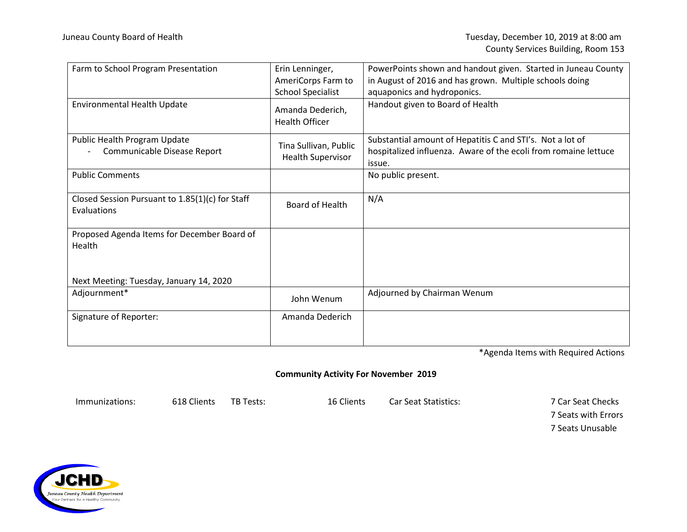| Farm to School Program Presentation                            | Erin Lenninger,                                   | PowerPoints shown and handout given. Started in Juneau County                                                                          |
|----------------------------------------------------------------|---------------------------------------------------|----------------------------------------------------------------------------------------------------------------------------------------|
|                                                                | AmeriCorps Farm to                                | in August of 2016 and has grown. Multiple schools doing                                                                                |
|                                                                | <b>School Specialist</b>                          | aquaponics and hydroponics.                                                                                                            |
| <b>Environmental Health Update</b>                             | Amanda Dederich,<br><b>Health Officer</b>         | Handout given to Board of Health                                                                                                       |
| Public Health Program Update<br>Communicable Disease Report    | Tina Sullivan, Public<br><b>Health Supervisor</b> | Substantial amount of Hepatitis C and STI's. Not a lot of<br>hospitalized influenza. Aware of the ecoli from romaine lettuce<br>issue. |
| <b>Public Comments</b>                                         |                                                   | No public present.                                                                                                                     |
| Closed Session Pursuant to 1.85(1)(c) for Staff<br>Evaluations | Board of Health                                   | N/A                                                                                                                                    |
| Proposed Agenda Items for December Board of<br>Health          |                                                   |                                                                                                                                        |
| Next Meeting: Tuesday, January 14, 2020                        |                                                   |                                                                                                                                        |
| Adjournment*                                                   | John Wenum                                        | Adjourned by Chairman Wenum                                                                                                            |
| Signature of Reporter:                                         | Amanda Dederich                                   |                                                                                                                                        |

\*Agenda Items with Required Actions

## **Community Activity For November 2019**

Immunizations: 618 Clients TB Tests: 16 Clients Car Seat Statistics: 7 Car Seat Checks

7 Seats with Errors 7 Seats Unusable